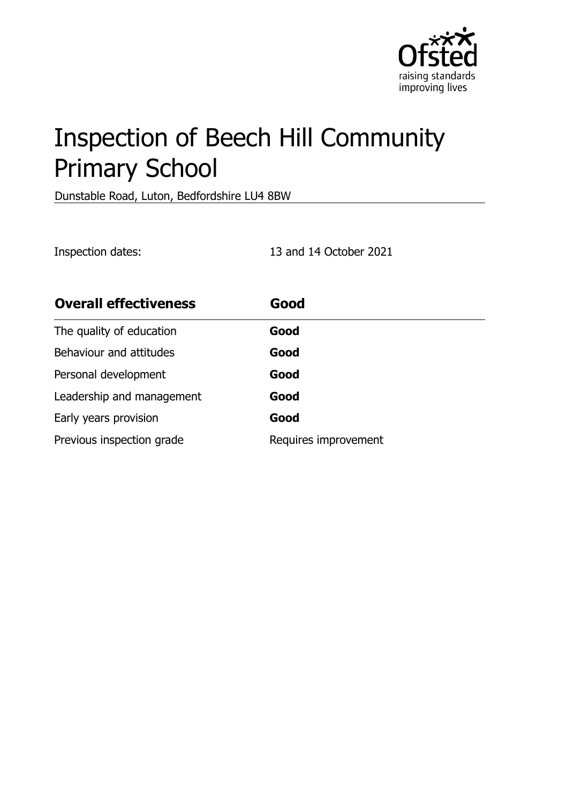

# Inspection of Beech Hill Community Primary School

Dunstable Road, Luton, Bedfordshire LU4 8BW

Inspection dates: 13 and 14 October 2021

| <b>Overall effectiveness</b> | Good                 |
|------------------------------|----------------------|
| The quality of education     | Good                 |
| Behaviour and attitudes      | Good                 |
| Personal development         | Good                 |
| Leadership and management    | Good                 |
| Early years provision        | Good                 |
| Previous inspection grade    | Requires improvement |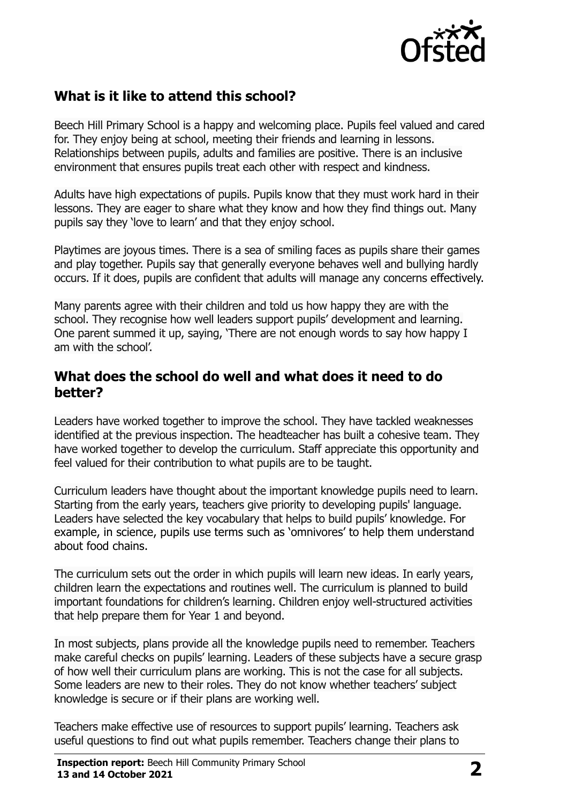

# **What is it like to attend this school?**

Beech Hill Primary School is a happy and welcoming place. Pupils feel valued and cared for. They enjoy being at school, meeting their friends and learning in lessons. Relationships between pupils, adults and families are positive. There is an inclusive environment that ensures pupils treat each other with respect and kindness.

Adults have high expectations of pupils. Pupils know that they must work hard in their lessons. They are eager to share what they know and how they find things out. Many pupils say they 'love to learn' and that they enjoy school.

Playtimes are joyous times. There is a sea of smiling faces as pupils share their games and play together. Pupils say that generally everyone behaves well and bullying hardly occurs. If it does, pupils are confident that adults will manage any concerns effectively.

Many parents agree with their children and told us how happy they are with the school. They recognise how well leaders support pupils' development and learning. One parent summed it up, saying, 'There are not enough words to say how happy I am with the school'.

#### **What does the school do well and what does it need to do better?**

Leaders have worked together to improve the school. They have tackled weaknesses identified at the previous inspection. The headteacher has built a cohesive team. They have worked together to develop the curriculum. Staff appreciate this opportunity and feel valued for their contribution to what pupils are to be taught.

Curriculum leaders have thought about the important knowledge pupils need to learn. Starting from the early years, teachers give priority to developing pupils' language. Leaders have selected the key vocabulary that helps to build pupils' knowledge. For example, in science, pupils use terms such as 'omnivores' to help them understand about food chains.

The curriculum sets out the order in which pupils will learn new ideas. In early years, children learn the expectations and routines well. The curriculum is planned to build important foundations for children's learning. Children enjoy well-structured activities that help prepare them for Year 1 and beyond.

In most subjects, plans provide all the knowledge pupils need to remember. Teachers make careful checks on pupils' learning. Leaders of these subjects have a secure grasp of how well their curriculum plans are working. This is not the case for all subjects. Some leaders are new to their roles. They do not know whether teachers' subject knowledge is secure or if their plans are working well.

Teachers make effective use of resources to support pupils' learning. Teachers ask useful questions to find out what pupils remember. Teachers change their plans to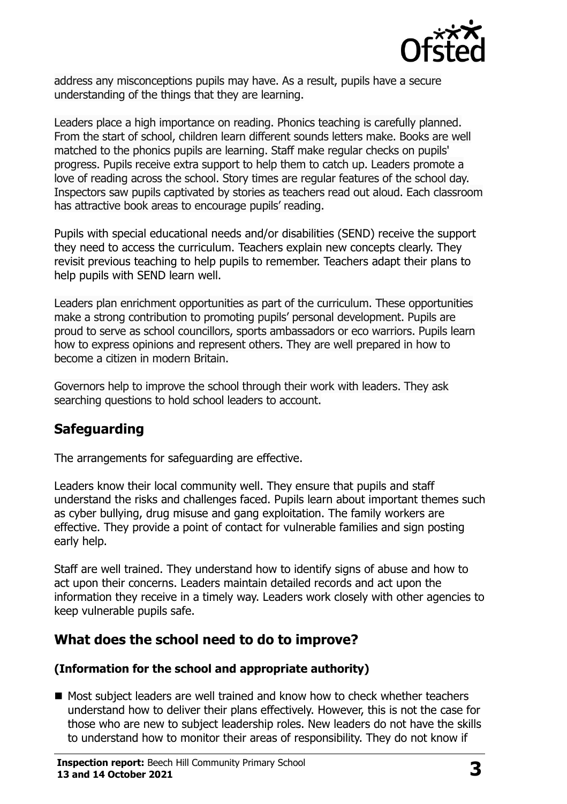

address any misconceptions pupils may have. As a result, pupils have a secure understanding of the things that they are learning.

Leaders place a high importance on reading. Phonics teaching is carefully planned. From the start of school, children learn different sounds letters make. Books are well matched to the phonics pupils are learning. Staff make regular checks on pupils' progress. Pupils receive extra support to help them to catch up. Leaders promote a love of reading across the school. Story times are regular features of the school day. Inspectors saw pupils captivated by stories as teachers read out aloud. Each classroom has attractive book areas to encourage pupils' reading.

Pupils with special educational needs and/or disabilities (SEND) receive the support they need to access the curriculum. Teachers explain new concepts clearly. They revisit previous teaching to help pupils to remember. Teachers adapt their plans to help pupils with SEND learn well.

Leaders plan enrichment opportunities as part of the curriculum. These opportunities make a strong contribution to promoting pupils' personal development. Pupils are proud to serve as school councillors, sports ambassadors or eco warriors. Pupils learn how to express opinions and represent others. They are well prepared in how to become a citizen in modern Britain.

Governors help to improve the school through their work with leaders. They ask searching questions to hold school leaders to account.

# **Safeguarding**

The arrangements for safeguarding are effective.

Leaders know their local community well. They ensure that pupils and staff understand the risks and challenges faced. Pupils learn about important themes such as cyber bullying, drug misuse and gang exploitation. The family workers are effective. They provide a point of contact for vulnerable families and sign posting early help.

Staff are well trained. They understand how to identify signs of abuse and how to act upon their concerns. Leaders maintain detailed records and act upon the information they receive in a timely way. Leaders work closely with other agencies to keep vulnerable pupils safe.

# **What does the school need to do to improve?**

#### **(Information for the school and appropriate authority)**

■ Most subject leaders are well trained and know how to check whether teachers understand how to deliver their plans effectively. However, this is not the case for those who are new to subject leadership roles. New leaders do not have the skills to understand how to monitor their areas of responsibility. They do not know if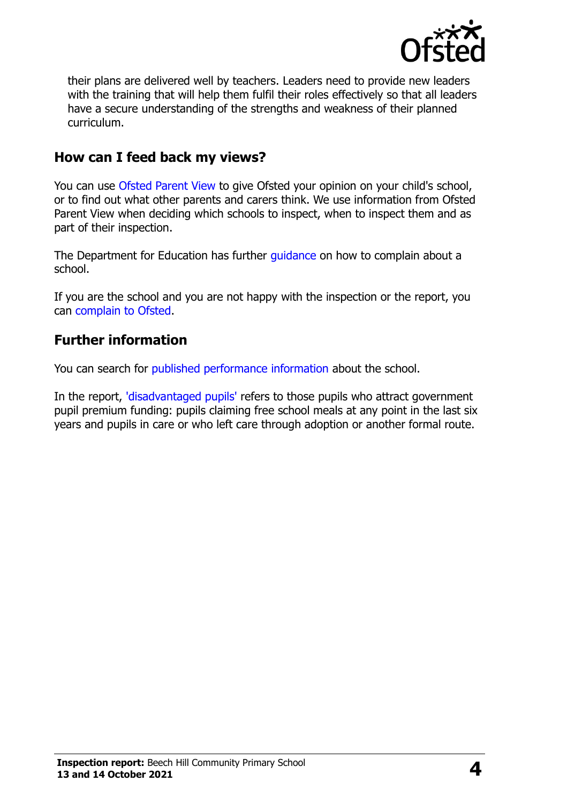

their plans are delivered well by teachers. Leaders need to provide new leaders with the training that will help them fulfil their roles effectively so that all leaders have a secure understanding of the strengths and weakness of their planned curriculum.

### **How can I feed back my views?**

You can use [Ofsted Parent View](http://parentview.ofsted.gov.uk/) to give Ofsted your opinion on your child's school, or to find out what other parents and carers think. We use information from Ofsted Parent View when deciding which schools to inspect, when to inspect them and as part of their inspection.

The Department for Education has further quidance on how to complain about a school.

If you are the school and you are not happy with the inspection or the report, you can [complain to Ofsted.](http://www.gov.uk/complain-ofsted-report)

#### **Further information**

You can search for [published performance information](http://www.compare-school-performance.service.gov.uk/) about the school.

In the report, ['disadvantaged pupils'](http://www.gov.uk/guidance/pupil-premium-information-for-schools-and-alternative-provision-settings) refers to those pupils who attract government pupil premium funding: pupils claiming free school meals at any point in the last six years and pupils in care or who left care through adoption or another formal route.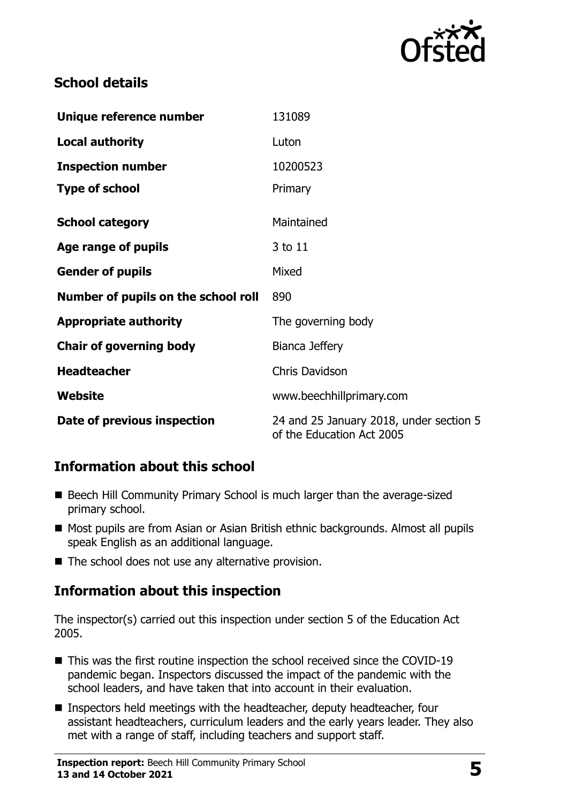

# **School details**

| Unique reference number             | 131089                                                               |  |
|-------------------------------------|----------------------------------------------------------------------|--|
| <b>Local authority</b>              | Luton                                                                |  |
| <b>Inspection number</b>            | 10200523                                                             |  |
| <b>Type of school</b>               | Primary                                                              |  |
| <b>School category</b>              | Maintained                                                           |  |
| Age range of pupils                 | 3 to 11                                                              |  |
| <b>Gender of pupils</b>             | Mixed                                                                |  |
| Number of pupils on the school roll | 890                                                                  |  |
| <b>Appropriate authority</b>        | The governing body                                                   |  |
| <b>Chair of governing body</b>      | Bianca Jeffery                                                       |  |
| <b>Headteacher</b>                  | <b>Chris Davidson</b>                                                |  |
| Website                             | www.beechhillprimary.com                                             |  |
| Date of previous inspection         | 24 and 25 January 2018, under section 5<br>of the Education Act 2005 |  |

# **Information about this school**

- Beech Hill Community Primary School is much larger than the average-sized primary school.
- Most pupils are from Asian or Asian British ethnic backgrounds. Almost all pupils speak English as an additional language.
- $\blacksquare$  The school does not use any alternative provision.

# **Information about this inspection**

The inspector(s) carried out this inspection under section 5 of the Education Act 2005.

- This was the first routine inspection the school received since the COVID-19 pandemic began. Inspectors discussed the impact of the pandemic with the school leaders, and have taken that into account in their evaluation.
- Inspectors held meetings with the headteacher, deputy headteacher, four assistant headteachers, curriculum leaders and the early years leader. They also met with a range of staff, including teachers and support staff.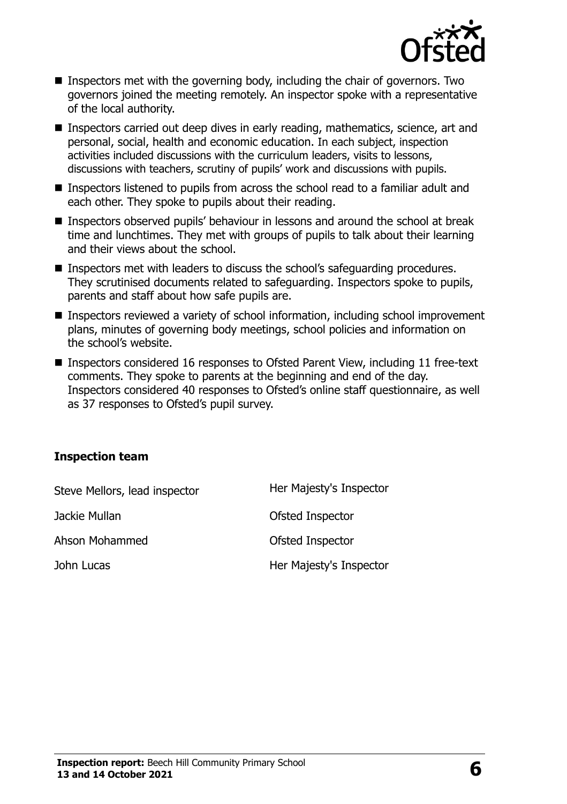

- Inspectors met with the governing body, including the chair of governors. Two governors joined the meeting remotely. An inspector spoke with a representative of the local authority.
- Inspectors carried out deep dives in early reading, mathematics, science, art and personal, social, health and economic education. In each subject, inspection activities included discussions with the curriculum leaders, visits to lessons, discussions with teachers, scrutiny of pupils' work and discussions with pupils.
- Inspectors listened to pupils from across the school read to a familiar adult and each other. They spoke to pupils about their reading.
- Inspectors observed pupils' behaviour in lessons and around the school at break time and lunchtimes. They met with groups of pupils to talk about their learning and their views about the school.
- Inspectors met with leaders to discuss the school's safeguarding procedures. They scrutinised documents related to safeguarding. Inspectors spoke to pupils, parents and staff about how safe pupils are.
- Inspectors reviewed a variety of school information, including school improvement plans, minutes of governing body meetings, school policies and information on the school's website.
- Inspectors considered 16 responses to Ofsted Parent View, including 11 free-text comments. They spoke to parents at the beginning and end of the day. Inspectors considered 40 responses to Ofsted's online staff questionnaire, as well as 37 responses to Ofsted's pupil survey.

#### **Inspection team**

| Steve Mellors, lead inspector | Her Majesty's Inspector |
|-------------------------------|-------------------------|
| Jackie Mullan                 | Ofsted Inspector        |
| Ahson Mohammed                | Ofsted Inspector        |
| John Lucas                    | Her Majesty's Inspector |